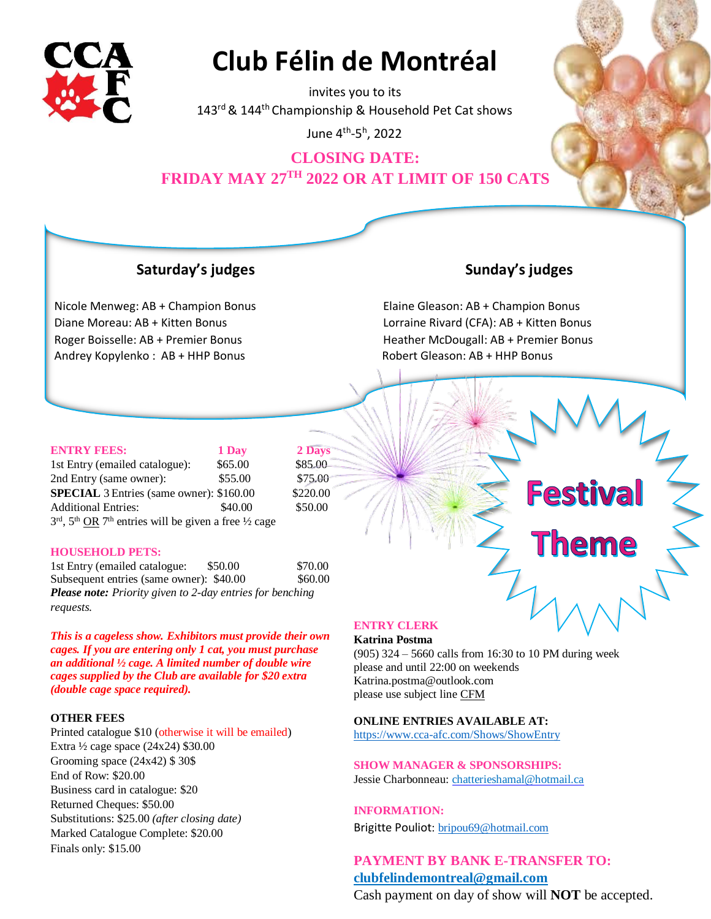

# **Club Félin de Montréal**

invites you to its 143<sup>rd</sup> & 144<sup>th</sup> Championship & Household Pet Cat shows

June 4 th-5<sup>h</sup> , 2022

# **CLOSING DATE: FRIDAY MAY 27TH 2022 OR AT LIMIT OF 150 CATS**

## **Saturday's judges Sunday's judges**

Nicole Menweg: AB + Champion Bonus Elaine Gleason: AB + Champion Bonus Andrey Kopylenko : AB + HHP Bonus Robert Gleason: AB + HHP Bonus

**Festival** 

eme

Diane Moreau: AB + Kitten Bonus Lorraine Rivard (CFA): AB + Kitten Bonus Roger Boisselle: AB + Premier Bonus Heather McDougall: AB + Premier Bonus

| <b>ENTRY FEES:</b>                                                     | 1 Day   | 2 Days   |
|------------------------------------------------------------------------|---------|----------|
| 1st Entry (emailed catalogue):                                         | \$65.00 | \$85.00  |
| 2nd Entry (same owner):                                                | \$55.00 | \$75.00  |
| <b>SPECIAL</b> 3 Entries (same owner): \$160.00                        |         | \$220.00 |
| <b>Additional Entries:</b>                                             | \$40.00 | \$50.00  |
| $3rd$ , $5th$ OR $7th$ entries will be given a free $\frac{1}{2}$ cage |         |          |

#### **HOUSEHOLD PETS:**

1st Entry (emailed catalogue: \$50.00 \$70.00 Subsequent entries (same owner): \$40.00 \$60.00 *Please note: Priority given to 2-day entries for benching requests.* 

*This is a cageless show. Exhibitors must provide their own cages. If you are entering only 1 cat, you must purchase an additional ½ cage. A limited number of double wire cages supplied by the Club are available for \$20 extra (double cage space required).*

#### **OTHER FEES**

Printed catalogue \$10 (otherwise it will be emailed) Extra ½ cage space (24x24) \$30.00 Grooming space (24x42) \$ 30\$ End of Row: \$20.00 Business card in catalogue: \$20 Returned Cheques: \$50.00 Substitutions: \$25.00 *(after closing date)* Marked Catalogue Complete: \$20.00 Finals only: \$15.00

#### **ENTRY CLERK**

#### **Katrina Postma**

(905) 324 – 5660 calls from 16:30 to 10 PM during week please and until 22:00 on weekends Katrina.postma@outlook.com please use subject line CFM

#### **ONLINE ENTRIES AVAILABLE AT:**

<https://www.cca-afc.com/Shows/ShowEntry>

**SHOW MANAGER & SPONSORSHIPS:** Jessie Charbonneau: chatterieshamal@hotmail.ca

### **INFORMATION[:](http://www.clubfelindemontreal.com/)**

Brigitte Pouliot: [bripou69@hotmail.com](mailto:bripou69@hotmail.com)

**PAYMENT BY BANK E-TRANSFER TO: [clubfelindemontreal@gmail.com](mailto:clubfelindemontreal@gmail.com)**

Cash payment on day of show will **NOT** be accepted.